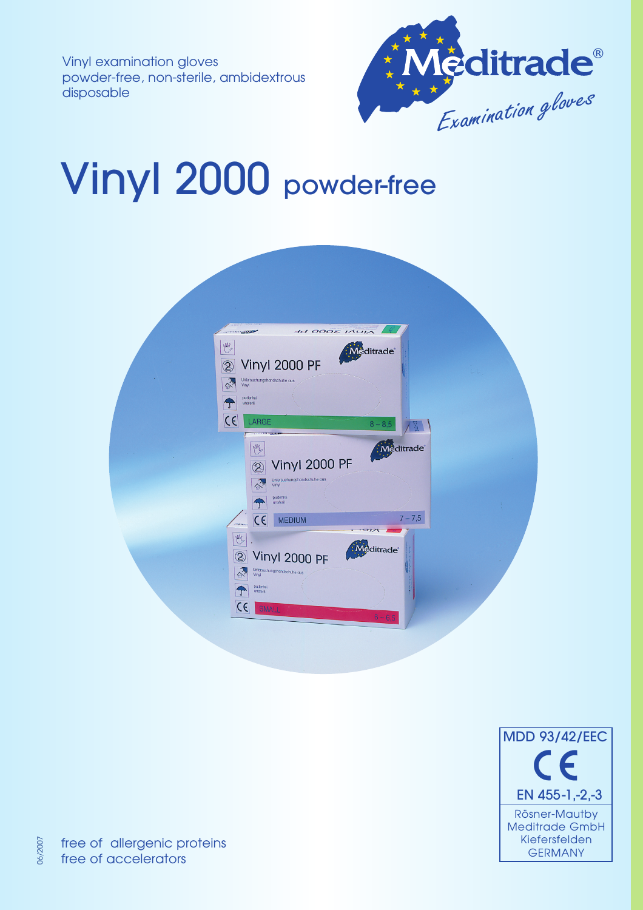Vinyl examination gloves powder-free, non-sterile, ambidextrous disposable



# Vinyl 2000 powder-free

| $H$ 0002 $M$<br><b>STATE</b><br>M<br><b>Meditrade</b><br>Vinyl 2000 PF<br>$\circledS$<br>Untersuchungshandschuhe aus<br>Vinyl<br>°<br>puderfrei<br>unsteril            |  |
|------------------------------------------------------------------------------------------------------------------------------------------------------------------------|--|
| Ţ<br>C <sub>C</sub><br>LARGE<br>$8 - 8.5$<br>ñ.<br>editrade<br>M<br>Vinyl 2000 PF<br>$\circledS$                                                                       |  |
| Untersuchungshandschuhe aus<br><b>SALE</b><br>Vinyl<br>puderfrei<br>unsteril<br>Ţ<br>$7 - 7,5$<br>$C \in$<br><b>MEDIUM</b><br>M                                        |  |
| <b><i><u>aditrade</u></i></b><br>Vinyl 2000 PF<br>$\circledS$<br>Untersuchungshandschuhe aus<br>Vinyl<br>puderfrei<br>unsterit<br>$C \in$<br><b>SMALL</b><br>$6 - 6,5$ |  |